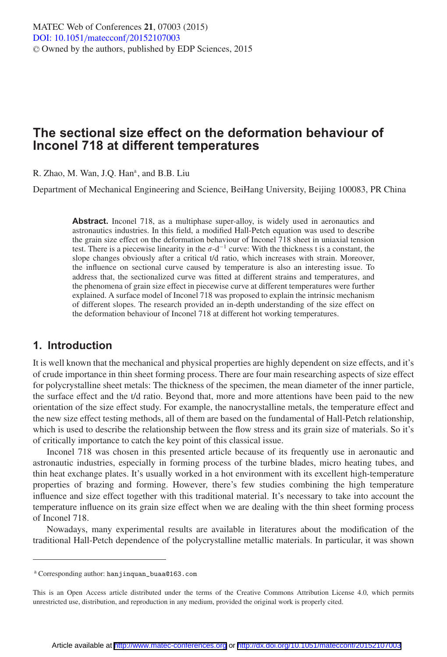# **The sectional size effect on the deformation behaviour of Inconel 718 at different temperatures**

R. Zhao, M. Wan, J.Q. Han<sup>a</sup>, and B.B. Liu

Department of Mechanical Engineering and Science, BeiHang University, Beijing 100083, PR China

**Abstract.** Inconel 718, as a multiphase super-alloy, is widely used in aeronautics and astronautics industries. In this field, a modified Hall-Petch equation was used to describe the grain size effect on the deformation behaviour of Inconel 718 sheet in uniaxial tension test. There is a piecewise linearity in the  $\sigma$ -d<sup>-1</sup> curve: With the thickness t is a constant, the slope changes obviously after a critical t/d ratio, which increases with strain. Moreover, the influence on sectional curve caused by temperature is also an interesting issue. To address that, the sectionalized curve was fitted at different strains and temperatures, and the phenomena of grain size effect in piecewise curve at different temperatures were further explained. A surface model of Inconel 718 was proposed to explain the intrinsic mechanism of different slopes. The research provided an in-depth understanding of the size effect on the deformation behaviour of Inconel 718 at different hot working temperatures.

# **1. Introduction**

It is well known that the mechanical and physical properties are highly dependent on size effects, and it's of crude importance in thin sheet forming process. There are four main researching aspects of size effect for polycrystalline sheet metals: The thickness of the specimen, the mean diameter of the inner particle, the surface effect and the t/d ratio. Beyond that, more and more attentions have been paid to the new orientation of the size effect study. For example, the nanocrystalline metals, the temperature effect and the new size effect testing methods, all of them are based on the fundamental of Hall-Petch relationship, which is used to describe the relationship between the flow stress and its grain size of materials. So it's of critically importance to catch the key point of this classical issue.

Inconel 718 was chosen in this presented article because of its frequently use in aeronautic and astronautic industries, especially in forming process of the turbine blades, micro heating tubes, and thin heat exchange plates. It's usually worked in a hot environment with its excellent high-temperature properties of brazing and forming. However, there's few studies combining the high temperature influence and size effect together with this traditional material. It's necessary to take into account the temperature influence on its grain size effect when we are dealing with the thin sheet forming process of Inconel 718.

Nowadays, many experimental results are available in literatures about the modification of the traditional Hall-Petch dependence of the polycrystalline metallic materials. In particular, it was shown

<sup>a</sup> Corresponding author: hanjinquan\_buaa@163.com

This is an Open Access article distributed under the terms of the Creative Commons Attribution License 4.0, which permits unrestricted use, distribution, and reproduction in any medium, provided the original work is properly cited.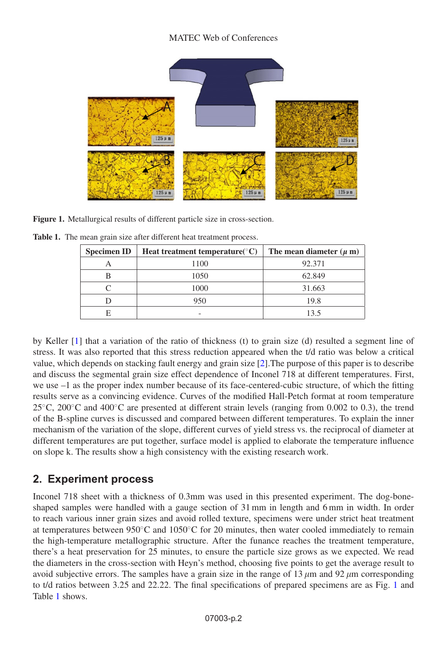### MATEC Web of Conferences

<span id="page-1-0"></span>

**Figure 1.** Metallurgical results of different particle size in cross-section.

| <b>Specimen ID</b> | Heat treatment temperature( $\mathrm{^{\circ}C}$ ) | The mean diameter $(\mu m)$ |
|--------------------|----------------------------------------------------|-----------------------------|
|                    | 1100                                               | 92.371                      |
|                    | 1050                                               | 62.849                      |
|                    | 1000                                               | 31.663                      |
|                    | 950                                                | 19.8                        |
|                    |                                                    | 13.5                        |

<span id="page-1-1"></span>Table 1. The mean grain size after different heat treatment process.

by Keller [\[1](#page-5-0)] that a variation of the ratio of thickness (t) to grain size (d) resulted a segment line of stress. It was also reported that this stress reduction appeared when the t/d ratio was below a critical value, which depends on stacking fault energy and grain size [\[2\]](#page-5-1).The purpose of this paper is to describe and discuss the segmental grain size effect dependence of Inconel 718 at different temperatures. First, we use –1 as the proper index number because of its face-centered-cubic structure, of which the fitting results serve as a convincing evidence. Curves of the modified Hall-Petch format at room temperature 25<sup>°</sup>C, 200<sup>°</sup>C and 400<sup>°</sup>C are presented at different strain levels (ranging from 0.002 to 0.3), the trend of the B-spline curves is discussed and compared between different temperatures. To explain the inner mechanism of the variation of the slope, different curves of yield stress vs. the reciprocal of diameter at different temperatures are put together, surface model is applied to elaborate the temperature influence on slope k. The results show a high consistency with the existing research work.

# **2. Experiment process**

Inconel 718 sheet with a thickness of 0.3mm was used in this presented experiment. The dog-boneshaped samples were handled with a gauge section of 31 mm in length and 6 mm in width. In order to reach various inner grain sizes and avoid rolled texture, specimens were under strict heat treatment at temperatures between  $950°C$  and  $1050°C$  for 20 minutes, then water cooled immediately to remain the high-temperature metallographic structure. After the funance reaches the treatment temperature, there's a heat preservation for 25 minutes, to ensure the particle size grows as we expected. We read the diameters in the cross-section with Heyn's method, choosing five points to get the average result to avoid subjective errors. The samples have a grain size in the range of 13  $\mu$ m and 92  $\mu$ m corresponding to t/d ratios between 3.25 and 22.22. The final specifications of prepared specimens are as Fig. [1](#page-1-0) and Table [1](#page-1-1) shows.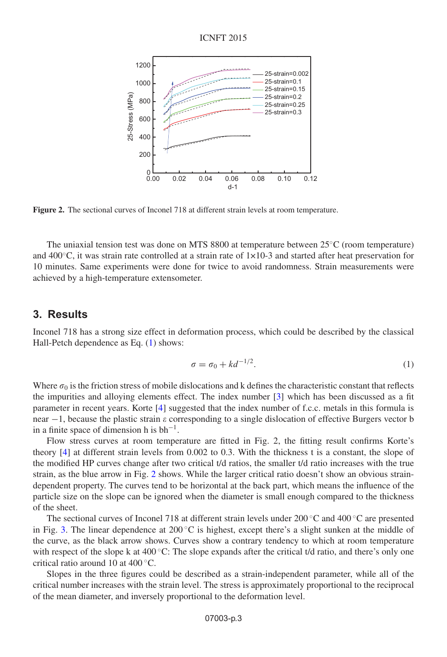#### ICNFT 2015

<span id="page-2-1"></span>

**Figure 2.** The sectional curves of Inconel 718 at different strain levels at room temperature.

The uniaxial tension test was done on MTS 8800 at temperature between 25◦C (room temperature) and 400 $\degree$ C, it was strain rate controlled at a strain rate of 1×10-3 and started after heat preservation for 10 minutes. Same experiments were done for twice to avoid randomness. Strain measurements were achieved by a high-temperature extensometer.

### **3. Results**

Inconel 718 has a strong size effect in deformation process, which could be described by the classical Hall-Petch dependence as Eq. [\(1\)](#page-2-0) shows:

<span id="page-2-0"></span>
$$
\sigma = \sigma_0 + kd^{-1/2}.\tag{1}
$$

Where  $\sigma_0$  is the friction stress of mobile dislocations and k defines the characteristic constant that reflects the impurities and alloying elements effect. The index number [\[3](#page-5-2)] which has been discussed as a fit parameter in recent years. Korte [\[4\]](#page-5-3) suggested that the index number of f.c.c. metals in this formula is near −1, because the plastic strain  $\varepsilon$  corresponding to a single dislocation of effective Burgers vector b in a finite space of dimension h is  $bh^{-1}$ .

Flow stress curves at room temperature are fitted in Fig. 2, the fitting result confirms Korte's theory [\[4\]](#page-5-3) at different strain levels from 0.002 to 0.3. With the thickness t is a constant, the slope of the modified HP curves change after two critical t/d ratios, the smaller t/d ratio increases with the true strain, as the blue arrow in Fig. [2](#page-2-1) shows. While the larger critical ratio doesn't show an obvious straindependent property. The curves tend to be horizontal at the back part, which means the influence of the particle size on the slope can be ignored when the diameter is small enough compared to the thickness of the sheet.

The sectional curves of Inconel 718 at different strain levels under 200 °C and 400 °C are presented in Fig. [3.](#page-3-0) The linear dependence at  $200\degree C$  is highest, except there's a slight sunken at the middle of the curve, as the black arrow shows. Curves show a contrary tendency to which at room temperature with respect of the slope k at 400 °C: The slope expands after the critical t/d ratio, and there's only one critical ratio around 10 at 400 ◦C.

Slopes in the three figures could be described as a strain-independent parameter, while all of the critical number increases with the strain level. The stress is approximately proportional to the reciprocal of the mean diameter, and inversely proportional to the deformation level.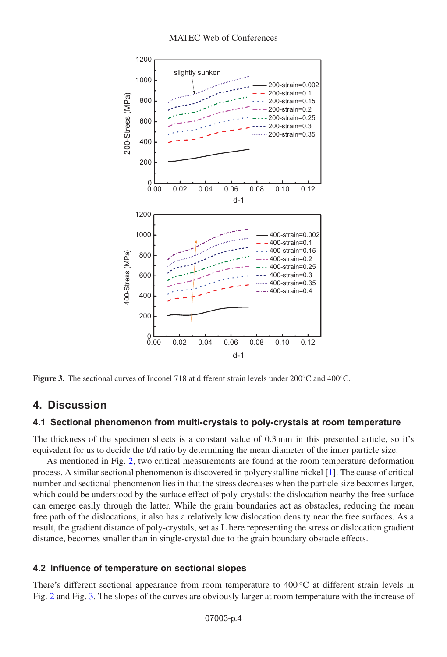<span id="page-3-0"></span>

**Figure 3.** The sectional curves of Inconel 718 at different strain levels under 200◦C and 400◦C.

# **4. Discussion**

#### **4.1 Sectional phenomenon from multi-crystals to poly-crystals at room temperature**

The thickness of the specimen sheets is a constant value of 0.3 mm in this presented article, so it's equivalent for us to decide the t/d ratio by determining the mean diameter of the inner particle size.

As mentioned in Fig. [2,](#page-2-1) two critical measurements are found at the room temperature deformation process. A similar sectional phenomenon is discovered in polycrystalline nickel [\[1\]](#page-5-0). The cause of critical number and sectional phenomenon lies in that the stress decreases when the particle size becomes larger, which could be understood by the surface effect of poly-crystals: the dislocation nearby the free surface can emerge easily through the latter. While the grain boundaries act as obstacles, reducing the mean free path of the dislocations, it also has a relatively low dislocation density near the free surfaces. As a result, the gradient distance of poly-crystals, set as L here representing the stress or dislocation gradient distance, becomes smaller than in single-crystal due to the grain boundary obstacle effects.

#### **4.2 Influence of temperature on sectional slopes**

There's different sectional appearance from room temperature to  $400\degree$ C at different strain levels in Fig. [2](#page-2-1) and Fig. [3.](#page-3-0) The slopes of the curves are obviously larger at room temperature with the increase of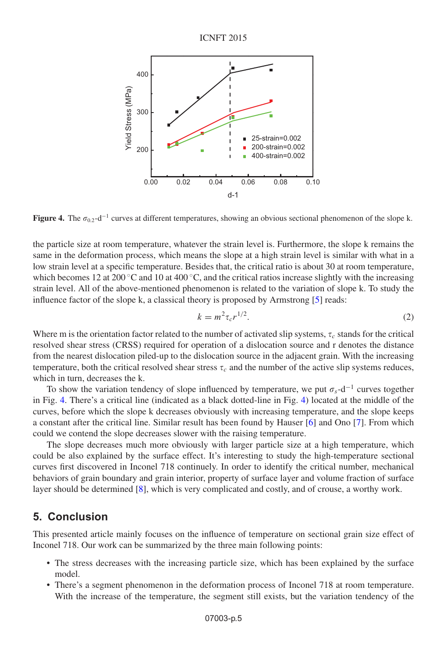ICNFT 2015

<span id="page-4-0"></span>

**Figure 4.** The  $\sigma_{0.2}$ -d<sup>-1</sup> curves at different temperatures, showing an obvious sectional phenomenon of the slope k.

the particle size at room temperature, whatever the strain level is. Furthermore, the slope k remains the same in the deformation process, which means the slope at a high strain level is similar with what in a low strain level at a specific temperature. Besides that, the critical ratio is about 30 at room temperature, which becomes 12 at 200 °C and 10 at 400 °C, and the critical ratios increase slightly with the increasing strain level. All of the above-mentioned phenomenon is related to the variation of slope k. To study the influence factor of the slope k, a classical theory is proposed by Armstrong [\[5\]](#page-5-4) reads:

$$
k = m^2 \tau_c r^{1/2}.\tag{2}
$$

Where m is the orientation factor related to the number of activated slip systems,  $\tau_c$  stands for the critical resolved shear stress (CRSS) required for operation of a dislocation source and r denotes the distance from the nearest dislocation piled-up to the dislocation source in the adjacent grain. With the increasing temperature, both the critical resolved shear stress  $\tau_c$  and the number of the active slip systems reduces, which in turn, decreases the k.

To show the variation tendency of slope influenced by temperature, we put  $\sigma_s$ -d<sup>-1</sup> curves together in Fig. [4.](#page-4-0) There's a critical line (indicated as a black dotted-line in Fig. [4\)](#page-4-0) located at the middle of the curves, before which the slope k decreases obviously with increasing temperature, and the slope keeps a constant after the critical line. Similar result has been found by Hauser [\[6\]](#page-5-5) and Ono [\[7](#page-5-6)]. From which could we contend the slope decreases slower with the raising temperature.

The slope decreases much more obviously with larger particle size at a high temperature, which could be also explained by the surface effect. It's interesting to study the high-temperature sectional curves first discovered in Inconel 718 continuely. In order to identify the critical number, mechanical behaviors of grain boundary and grain interior, property of surface layer and volume fraction of surface layer should be determined [\[8](#page-5-7)], which is very complicated and costly, and of crouse, a worthy work.

## **5. Conclusion**

This presented article mainly focuses on the influence of temperature on sectional grain size effect of Inconel 718. Our work can be summarized by the three main following points:

- The stress decreases with the increasing particle size, which has been explained by the surface model.
- There's a segment phenomenon in the deformation process of Inconel 718 at room temperature. With the increase of the temperature, the segment still exists, but the variation tendency of the